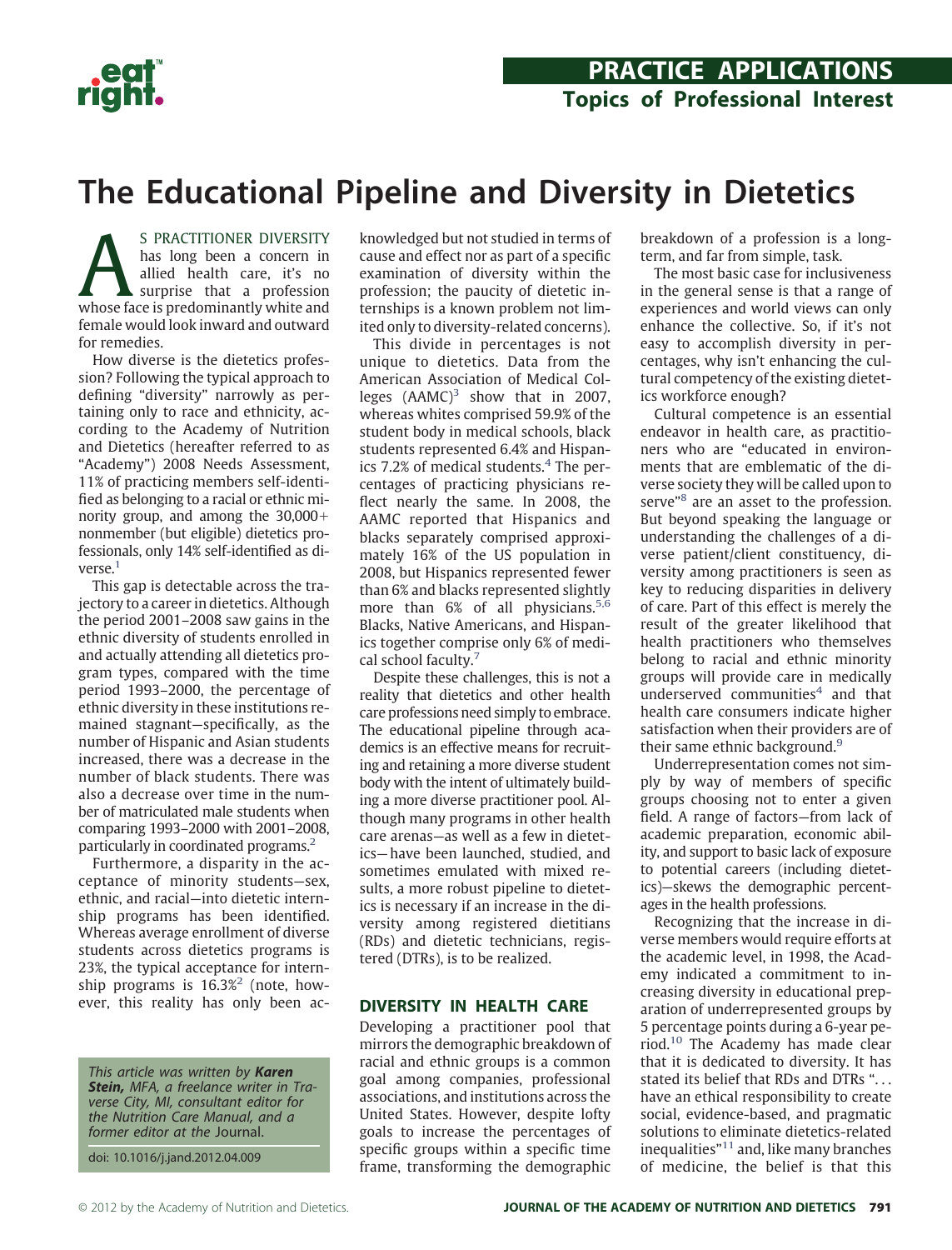

# **The Educational Pipeline and Diversity in Dietetics**

S PRACTITIONER DIVERSITY<br>has long been a concern in<br>allied health care, it's no<br>surprise that a profession<br>whose face is predominantly white and has long been a concern in allied health care, it's no surprise that a profession female would look inward and outward for remedies.

How diverse is the dietetics profession? Following the typical approach to defining "diversity" narrowly as pertaining only to race and ethnicity, according to the Academy of Nutrition and Dietetics (hereafter referred to as "Academy") 2008 Needs Assessment, 11% of practicing members self-identified as belonging to a racial or ethnic minority group, and among the 30,000 nonmember (but eligible) dietetics professionals, only 14% self-identified as diverse.<sup>1</sup>

This gap is detectable across the trajectory to a career in dietetics. Although the period 2001–2008 saw gains in the ethnic diversity of students enrolled in and actually attending all dietetics program types, compared with the time period 1993–2000, the percentage of ethnic diversity in these institutions remained stagnant—specifically, as the number of Hispanic and Asian students increased, there was a decrease in the number of black students. There was also a decrease over time in the number of matriculated male students when comparing 1993–2000 with 2001–2008, particularly in coordinated programs[.2](#page-6-1)

Furthermore, a disparity in the acceptance of minority students—sex, ethnic, and racial—into dietetic internship programs has been identified. Whereas average enrollment of diverse students across dietetics programs is 23%, the typical acceptance for internship programs is 16.3%<sup>2</sup> (note, however, this reality has only been ac-

This article was written by *Karen Stein,* MFA, a freelance writer in Traverse City, MI, consultant editor for the Nutrition Care Manual, and a former editor at the Journal.

doi: 10.1016/j.jand.2012.04.009

knowledged but not studied in terms of cause and effect nor as part of a specific examination of diversity within the profession; the paucity of dietetic internships is a known problem not limited only to diversity-related concerns).

This divide in percentages is not unique to dietetics. Data from the American Association of Medical Colleges  $(AAMC)^3$  $(AAMC)^3$  show that in 2007, whereas whites comprised 59.9% of the student body in medical schools, black students represented 6.4% and Hispanics 7.2% of medical students.<sup>4</sup> The percentages of practicing physicians reflect nearly the same. In 2008, the AAMC reported that Hispanics and blacks separately comprised approximately 16% of the US population in 2008, but Hispanics represented fewer than 6% and blacks represented slightly more than 6% of all physicians.<sup>[5,6](#page-6-4)</sup> Blacks, Native Americans, and Hispanics together comprise only 6% of medical school faculty[.7](#page-6-5)

Despite these challenges, this is not a reality that dietetics and other health care professions need simply to embrace. The educational pipeline through academics is an effective means for recruiting and retaining a more diverse student body with the intent of ultimately building a more diverse practitioner pool. Although many programs in other health care arenas—as well as a few in dietetics—have been launched, studied, and sometimes emulated with mixed results, a more robust pipeline to dietetics is necessary if an increase in the diversity among registered dietitians (RDs) and dietetic technicians, registered (DTRs), is to be realized.

### **DIVERSITY IN HEALTH CARE**

Developing a practitioner pool that mirrors the demographic breakdown of racial and ethnic groups is a common goal among companies, professional associations, and institutions across the United States. However, despite lofty goals to increase the percentages of specific groups within a specific time frame, transforming the demographic

breakdown of a profession is a longterm, and far from simple, task.

The most basic case for inclusiveness in the general sense is that a range of experiences and world views can only enhance the collective. So, if it's not easy to accomplish diversity in percentages, why isn't enhancing the cultural competency of the existing dietetics workforce enough?

Cultural competence is an essential endeavor in health care, as practitioners who are "educated in environments that are emblematic of the diverse society they will be called upon to serve<sup>["8](#page-6-6)</sup> are an asset to the profession. But beyond speaking the language or understanding the challenges of a diverse patient/client constituency, diversity among practitioners is seen as key to reducing disparities in delivery of care. Part of this effect is merely the result of the greater likelihood that health practitioners who themselves belong to racial and ethnic minority groups will provide care in medically underserved communities $4$  and that health care consumers indicate higher satisfaction when their providers are of their same ethnic background.<sup>9</sup>

Underrepresentation comes not simply by way of members of specific groups choosing not to enter a given field. A range of factors—from lack of academic preparation, economic ability, and support to basic lack of exposure to potential careers (including dietetics)—skews the demographic percentages in the health professions.

Recognizing that the increase in diverse members would require efforts at the academic level, in 1998, the Academy indicated a commitment to increasing diversity in educational preparation of underrepresented groups by 5 percentage points during a 6-year period[.10](#page-6-8) The Academy has made clear that it is dedicated to diversity. It has stated its belief that RDs and DTRs ". . . have an ethical responsibility to create social, evidence-based, and pragmatic solutions to eliminate dietetics-related inequalities"[11](#page-6-9) and, like many branches of medicine, the belief is that this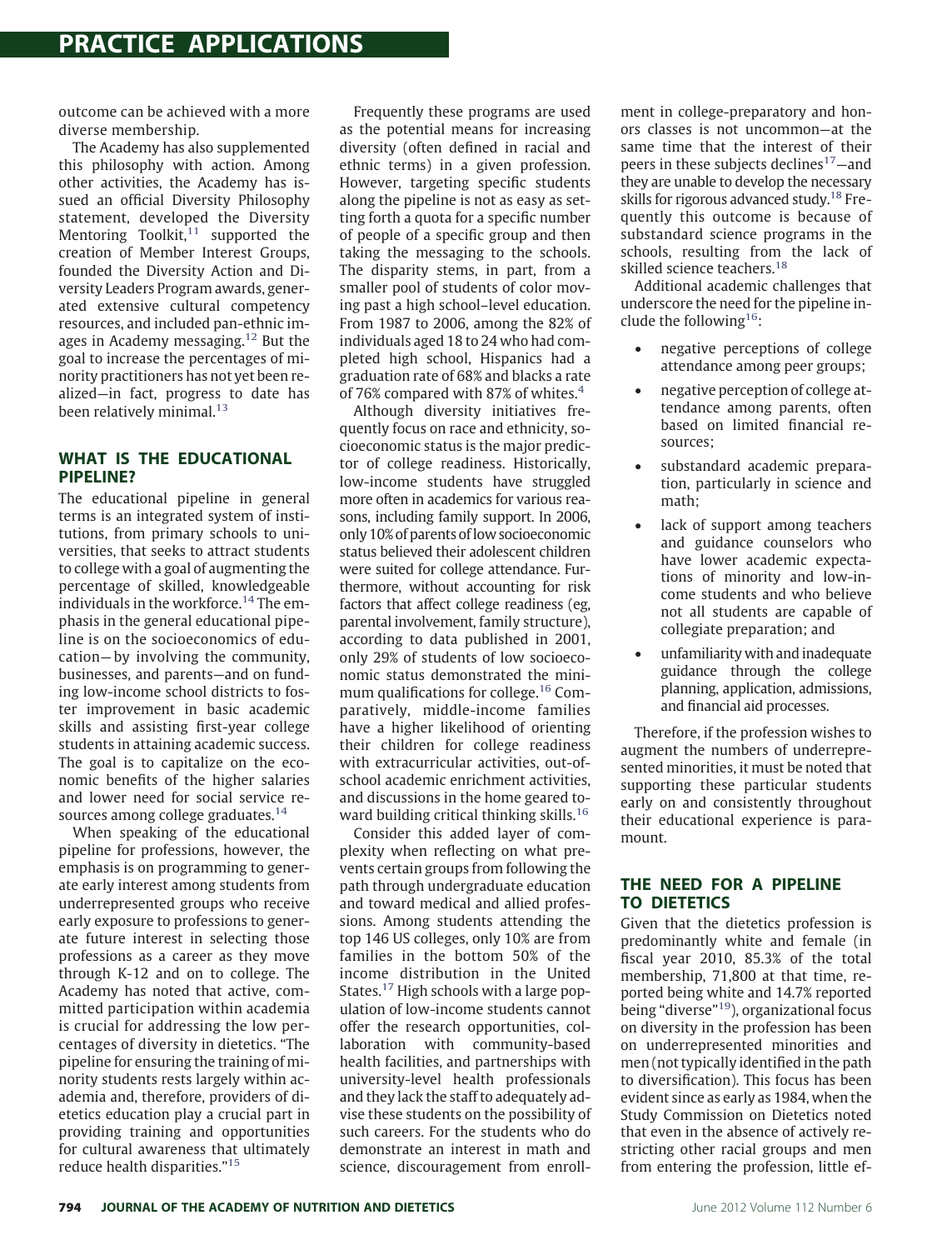outcome can be achieved with a more diverse membership.

The Academy has also supplemented this philosophy with action. Among other activities, the Academy has issued an official Diversity Philosophy statement, developed the Diversity Mentoring Toolkit, $11$  supported the creation of Member Interest Groups, founded the Diversity Action and Diversity Leaders Program awards, generated extensive cultural competency resources, and included pan-ethnic images in Academy messaging.[12](#page-6-10) But the goal to increase the percentages of minority practitioners has not yet been realized—in fact, progress to date has been relatively minimal. $13$ 

### **WHAT IS THE EDUCATIONAL PIPELINE?**

The educational pipeline in general terms is an integrated system of institutions, from primary schools to universities, that seeks to attract students to college with a goal of augmenting the percentage of skilled, knowledgeable individuals in the workforce.<sup>[14](#page-6-12)</sup> The emphasis in the general educational pipeline is on the socioeconomics of education— by involving the community, businesses, and parents—and on funding low-income school districts to foster improvement in basic academic skills and assisting first-year college students in attaining academic success. The goal is to capitalize on the economic benefits of the higher salaries and lower need for social service re-sources among college graduates.<sup>[14](#page-6-12)</sup>

When speaking of the educational pipeline for professions, however, the emphasis is on programming to generate early interest among students from underrepresented groups who receive early exposure to professions to generate future interest in selecting those professions as a career as they move through K-12 and on to college. The Academy has noted that active, committed participation within academia is crucial for addressing the low percentages of diversity in dietetics. "The pipeline for ensuring the training of minority students rests largely within academia and, therefore, providers of dietetics education play a crucial part in providing training and opportunities for cultural awareness that ultimately reduce health disparities.["15](#page-6-13)

Frequently these programs are used as the potential means for increasing diversity (often defined in racial and ethnic terms) in a given profession. However, targeting specific students along the pipeline is not as easy as setting forth a quota for a specific number of people of a specific group and then taking the messaging to the schools. The disparity stems, in part, from a smaller pool of students of color moving past a high school–level education. From 1987 to 2006, among the 82% of individuals aged 18 to 24 who had completed high school, Hispanics had a graduation rate of 68% and blacks a rate of 76% compared with 87% of whites. $4$ 

Although diversity initiatives frequently focus on race and ethnicity, socioeconomic status is the major predictor of college readiness. Historically, low-income students have struggled more often in academics for various reasons, including family support. In 2006, only 10% of parents oflow socioeconomic status believed their adolescent children were suited for college attendance. Furthermore, without accounting for risk factors that affect college readiness (eg, parental involvement, family structure), according to data published in 2001, only 29% of students of low socioeconomic status demonstrated the minimum qualifications for college.<sup>16</sup> Comparatively, middle-income families have a higher likelihood of orienting their children for college readiness with extracurricular activities, out-ofschool academic enrichment activities, and discussions in the home geared toward building critical thinking skills.<sup>16</sup>

Consider this added layer of complexity when reflecting on what prevents certain groups from following the path through undergraduate education and toward medical and allied professions. Among students attending the top 146 US colleges, only 10% are from families in the bottom 50% of the income distribution in the United States.<sup>17</sup> High schools with a large population of low-income students cannot offer the research opportunities, collaboration with community-based health facilities, and partnerships with university-level health professionals and they lack the staff to adequately advise these students on the possibility of such careers. For the students who do demonstrate an interest in math and science, discouragement from enrollment in college-preparatory and honors classes is not uncommon—at the same time that the interest of their peers in these subjects declines<sup>17</sup>-and they are unable to develop the necessary skills for rigorous advanced study.<sup>18</sup> Frequently this outcome is because of substandard science programs in the schools, resulting from the lack of skilled science teachers.<sup>18</sup>

Additional academic challenges that underscore the need for the pipeline include the following<sup>16</sup>:

- negative perceptions of college attendance among peer groups;
- negative perception of college attendance among parents, often based on limited financial resources;
- substandard academic preparation, particularly in science and math;
- lack of support among teachers and guidance counselors who have lower academic expectations of minority and low-income students and who believe not all students are capable of collegiate preparation; and
- unfamiliarity with and inadequate guidance through the college planning, application, admissions, and financial aid processes.

Therefore, if the profession wishes to augment the numbers of underrepresented minorities, it must be noted that supporting these particular students early on and consistently throughout their educational experience is paramount.

## **THE NEED FOR A PIPELINE TO DIETETICS**

Given that the dietetics profession is predominantly white and female (in fiscal year 2010, 85.3% of the total membership, 71,800 at that time, reported being white and 14.7% reported being "diverse["19\)](#page-6-17), organizational focus on diversity in the profession has been on underrepresented minorities and men (not typically identified in the path to diversification). This focus has been evident since as early as 1984, when the Study Commission on Dietetics noted that even in the absence of actively restricting other racial groups and men from entering the profession, little ef-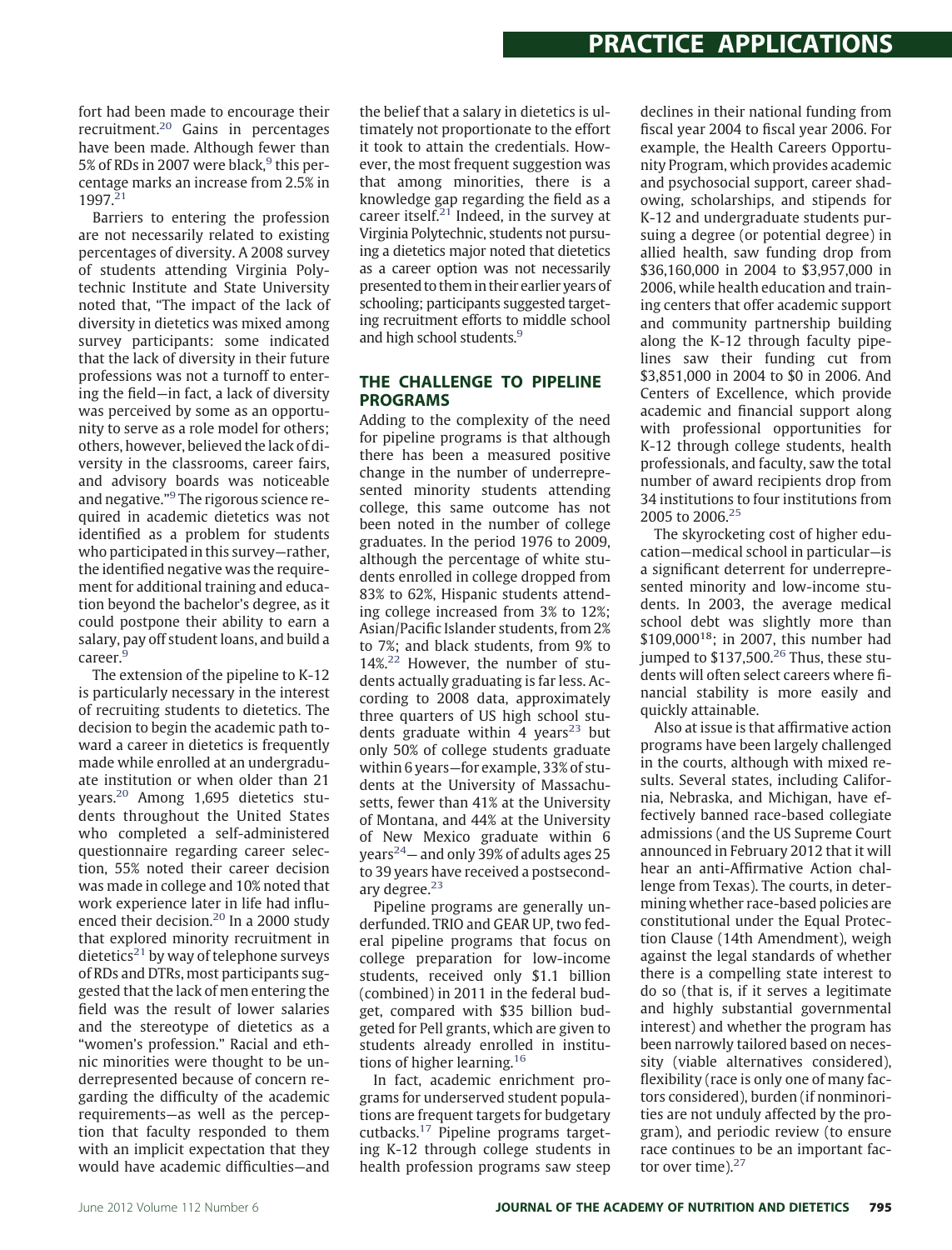fort had been made to encourage their recruitment[.20](#page-6-18) Gains in percentages have been made. Although fewer than 5% of RDs in 2007 were black,<sup>9</sup> this percentage marks an increase from 2.5% in 1997[.21](#page-6-19)

Barriers to entering the profession are not necessarily related to existing percentages of diversity. A 2008 survey of students attending Virginia Polytechnic Institute and State University noted that, "The impact of the lack of diversity in dietetics was mixed among survey participants: some indicated that the lack of diversity in their future professions was not a turnoff to entering the field—in fact, a lack of diversity was perceived by some as an opportunity to serve as a role model for others; others, however, believed the lack of diversity in the classrooms, career fairs, and advisory boards was noticeable and negative."[9](#page-6-7) The rigorous science required in academic dietetics was not identified as a problem for students who participated in this survey—rather, the identified negative was the requirement for additional training and education beyond the bachelor's degree, as it could postpone their ability to earn a salary, pay off student loans, and build a career.<sup>[9](#page-6-7)</sup>

The extension of the pipeline to K-12 is particularly necessary in the interest of recruiting students to dietetics. The decision to begin the academic path toward a career in dietetics is frequently made while enrolled at an undergraduate institution or when older than 21 years[.20](#page-6-18) Among 1,695 dietetics students throughout the United States who completed a self-administered questionnaire regarding career selection, 55% noted their career decision was made in college and 10% noted that work experience later in life had influ-enced their decision.<sup>[20](#page-6-18)</sup> In a 2000 study that explored minority recruitment in dietetics<sup>21</sup> by way of telephone surveys of RDs and DTRs, most participants suggested that the lack of men entering the field was the result of lower salaries and the stereotype of dietetics as a "women's profession." Racial and ethnic minorities were thought to be underrepresented because of concern regarding the difficulty of the academic requirements—as well as the perception that faculty responded to them with an implicit expectation that they would have academic difficulties—and

the belief that a salary in dietetics is ultimately not proportionate to the effort it took to attain the credentials. However, the most frequent suggestion was that among minorities, there is a knowledge gap regarding the field as a career itself.<sup>[21](#page-6-19)</sup> Indeed, in the survey at Virginia Polytechnic, students not pursuing a dietetics major noted that dietetics as a career option was not necessarily presented to them in their earlier years of schooling; participants suggested targeting recruitment efforts to middle school and high school students.<sup>9</sup>

### **THE CHALLENGE TO PIPELINE PROGRAMS**

Adding to the complexity of the need for pipeline programs is that although there has been a measured positive change in the number of underrepresented minority students attending college, this same outcome has not been noted in the number of college graduates. In the period 1976 to 2009, although the percentage of white students enrolled in college dropped from 83% to 62%, Hispanic students attending college increased from 3% to 12%; Asian/Pacific Islander students, from 2% to 7%; and black students, from 9% to  $14\%$ <sup>22</sup> However, the number of students actually graduating is far less. According to 2008 data, approximately three quarters of US high school stu-dents graduate within 4 years<sup>[23](#page-6-21)</sup> but only 50% of college students graduate within 6 years—for example, 33% of students at the University of Massachusetts, fewer than 41% at the University of Montana, and 44% at the University of New Mexico graduate within 6 years<sup>24</sup> – and only 39% of adults ages 25 to 39 years have received a postsecondary degree. $23$ 

Pipeline programs are generally underfunded. TRIO and GEAR UP, two federal pipeline programs that focus on college preparation for low-income students, received only \$1.1 billion (combined) in 2011 in the federal budget, compared with \$35 billion budgeted for Pell grants, which are given to students already enrolled in institutions of higher learning[.16](#page-6-14)

In fact, academic enrichment programs for underserved student populations are frequent targets for budgetary cutbacks[.17](#page-6-15) Pipeline programs targeting K-12 through college students in health profession programs saw steep

declines in their national funding from fiscal year 2004 to fiscal year 2006. For example, the Health Careers Opportunity Program, which provides academic and psychosocial support, career shadowing, scholarships, and stipends for K-12 and undergraduate students pursuing a degree (or potential degree) in allied health, saw funding drop from \$36,160,000 in 2004 to \$3,957,000 in 2006, while health education and training centers that offer academic support and community partnership building along the K-12 through faculty pipelines saw their funding cut from \$3,851,000 in 2004 to \$0 in 2006. And Centers of Excellence, which provide academic and financial support along with professional opportunities for K-12 through college students, health professionals, and faculty, saw the total number of award recipients drop from 34 institutions to four institutions from 2005 to 2006.<sup>25</sup>

The skyrocketing cost of higher education—medical school in particular—is a significant deterrent for underrepresented minority and low-income students. In 2003, the average medical school debt was slightly more than \$109,00018; in 2007, this number had jumped to  $$137,500.<sup>26</sup>$  $$137,500.<sup>26</sup>$  $$137,500.<sup>26</sup>$  Thus, these students will often select careers where financial stability is more easily and quickly attainable.

Also at issue is that affirmative action programs have been largely challenged in the courts, although with mixed results. Several states, including California, Nebraska, and Michigan, have effectively banned race-based collegiate admissions (and the US Supreme Court announced in February 2012 that it will hear an anti-Affirmative Action challenge from Texas). The courts, in determining whether race-based policies are constitutional under the Equal Protection Clause (14th Amendment), weigh against the legal standards of whether there is a compelling state interest to do so (that is, if it serves a legitimate and highly substantial governmental interest) and whether the program has been narrowly tailored based on necessity (viable alternatives considered), flexibility (race is only one of many factors considered), burden (if nonminorities are not unduly affected by the program), and periodic review (to ensure race continues to be an important factor over time). $27$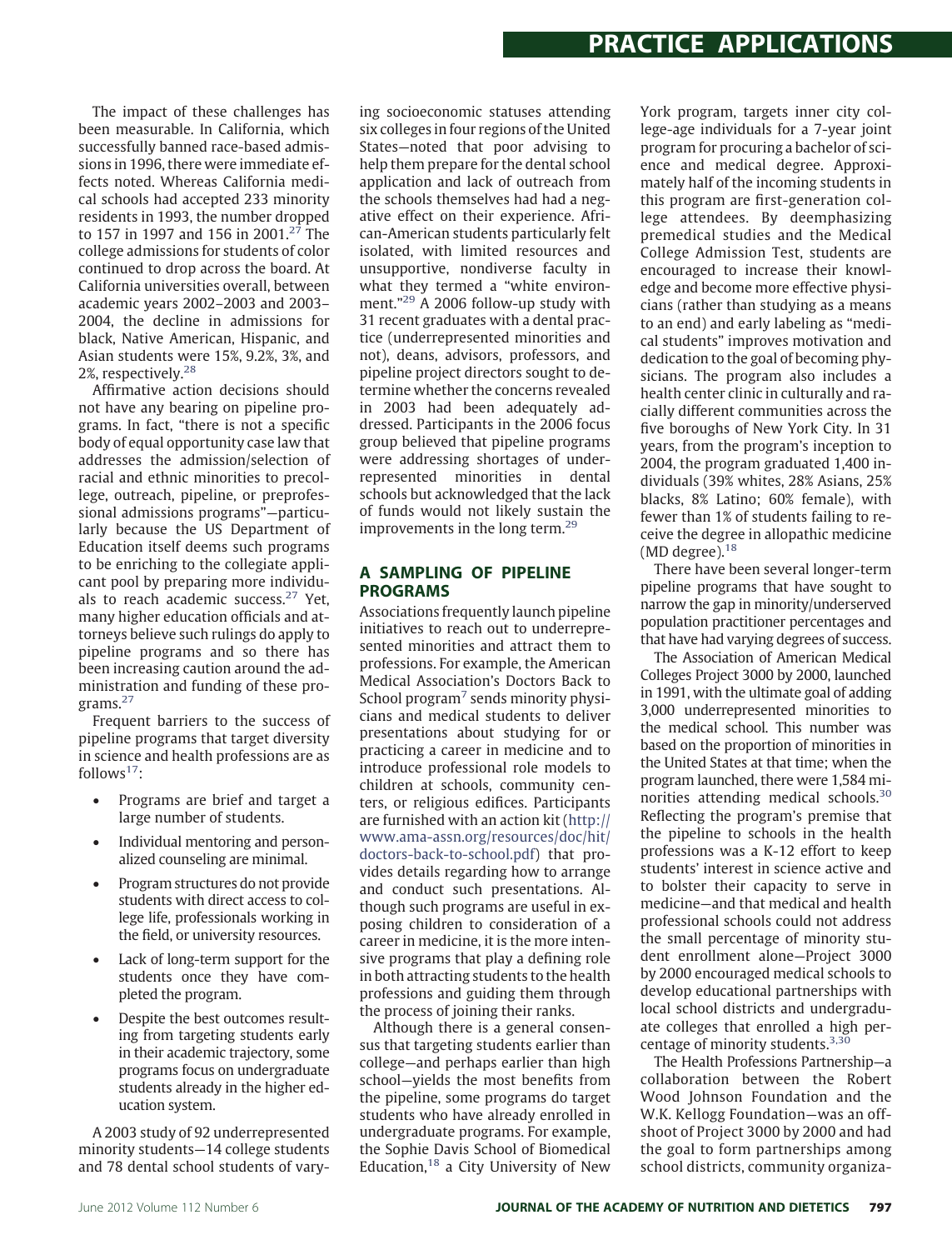The impact of these challenges has been measurable. In California, which successfully banned race-based admissions in 1996, there were immediate effects noted. Whereas California medical schools had accepted 233 minority residents in 1993, the number dropped to 157 in 1997 and 156 in 2001.<sup>[27](#page-6-25)</sup> The college admissions for students of color continued to drop across the board. At California universities overall, between academic years 2002–2003 and 2003– 2004, the decline in admissions for black, Native American, Hispanic, and Asian students were 15%, 9.2%, 3%, and 2%, respectively[.28](#page-6-26)

Affirmative action decisions should not have any bearing on pipeline programs. In fact, "there is not a specific body of equal opportunity case law that addresses the admission/selection of racial and ethnic minorities to precollege, outreach, pipeline, or preprofessional admissions programs"—particularly because the US Department of Education itself deems such programs to be enriching to the collegiate applicant pool by preparing more individuals to reach academic success.[27](#page-6-25) Yet, many higher education officials and attorneys believe such rulings do apply to pipeline programs and so there has been increasing caution around the administration and funding of these programs.[27](#page-6-25)

Frequent barriers to the success of pipeline programs that target diversity in science and health professions are as follows $17$ :

- Programs are brief and target a large number of students.
- Individual mentoring and personalized counseling are minimal.
- Program structures do not provide students with direct access to college life, professionals working in the field, or university resources.
- Lack of long-term support for the students once they have completed the program.
- Despite the best outcomes resulting from targeting students early in their academic trajectory, some programs focus on undergraduate students already in the higher education system.

A 2003 study of 92 underrepresented minority students—14 college students and 78 dental school students of varying socioeconomic statuses attending six colleges in four regions of the United States—noted that poor advising to help them prepare for the dental school application and lack of outreach from the schools themselves had had a negative effect on their experience. African-American students particularly felt isolated, with limited resources and unsupportive, nondiverse faculty in what they termed a "white environment."[29](#page-6-27) A 2006 follow-up study with 31 recent graduates with a dental practice (underrepresented minorities and not), deans, advisors, professors, and pipeline project directors sought to determine whether the concerns revealed in 2003 had been adequately addressed. Participants in the 2006 focus group believed that pipeline programs were addressing shortages of underrepresented minorities in dental schools but acknowledged that the lack of funds would not likely sustain the improvements in the long term.<sup>29</sup>

### **A SAMPLING OF PIPELINE PROGRAMS**

Associations frequently launch pipeline initiatives to reach out to underrepresented minorities and attract them to professions. For example, the American Medical Association's Doctors Back to School program<sup>7</sup> sends minority physicians and medical students to deliver presentations about studying for or practicing a career in medicine and to introduce professional role models to children at schools, community centers, or religious edifices. Participants are furnished with an action kit [\(http://](http://www.ama-assn.org/resources/doc/hit/doctors-back-to-school.pdf) [www.ama-assn.org/resources/doc/hit/](http://www.ama-assn.org/resources/doc/hit/doctors-back-to-school.pdf) [doctors-back-to-school.pdf\)](http://www.ama-assn.org/resources/doc/hit/doctors-back-to-school.pdf) that provides details regarding how to arrange and conduct such presentations. Although such programs are useful in exposing children to consideration of a career in medicine, it is the more intensive programs that play a defining role in both attracting students to the health professions and guiding them through the process of joining their ranks.

Although there is a general consensus that targeting students earlier than college—and perhaps earlier than high school—yields the most benefits from the pipeline, some programs do target students who have already enrolled in undergraduate programs. For example, the Sophie Davis School of Biomedical Education, $18$  a City University of New

York program, targets inner city college-age individuals for a 7-year joint program for procuring a bachelor of science and medical degree. Approximately half of the incoming students in this program are first-generation college attendees. By deemphasizing premedical studies and the Medical College Admission Test, students are encouraged to increase their knowledge and become more effective physicians (rather than studying as a means to an end) and early labeling as "medical students" improves motivation and dedication to the goal of becoming physicians. The program also includes a health center clinic in culturally and racially different communities across the five boroughs of New York City. In 31 years, from the program's inception to 2004, the program graduated 1,400 individuals (39% whites, 28% Asians, 25% blacks, 8% Latino; 60% female), with fewer than 1% of students failing to receive the degree in allopathic medicine (MD degree). $18$ 

There have been several longer-term pipeline programs that have sought to narrow the gap in minority/underserved population practitioner percentages and that have had varying degrees of success.

The Association of American Medical Colleges Project 3000 by 2000, launched in 1991, with the ultimate goal of adding 3,000 underrepresented minorities to the medical school. This number was based on the proportion of minorities in the United States at that time; when the program launched, there were 1,584 minorities attending medical schools.[30](#page-6-28) Reflecting the program's premise that the pipeline to schools in the health professions was a K-12 effort to keep students' interest in science active and to bolster their capacity to serve in medicine—and that medical and health professional schools could not address the small percentage of minority student enrollment alone—Project 3000 by 2000 encouraged medical schools to develop educational partnerships with local school districts and undergraduate colleges that enrolled a high percentage of minority students. $3,30$ 

The Health Professions Partnership—a collaboration between the Robert Wood Johnson Foundation and the W.K. Kellogg Foundation—was an offshoot of Project 3000 by 2000 and had the goal to form partnerships among school districts, community organiza-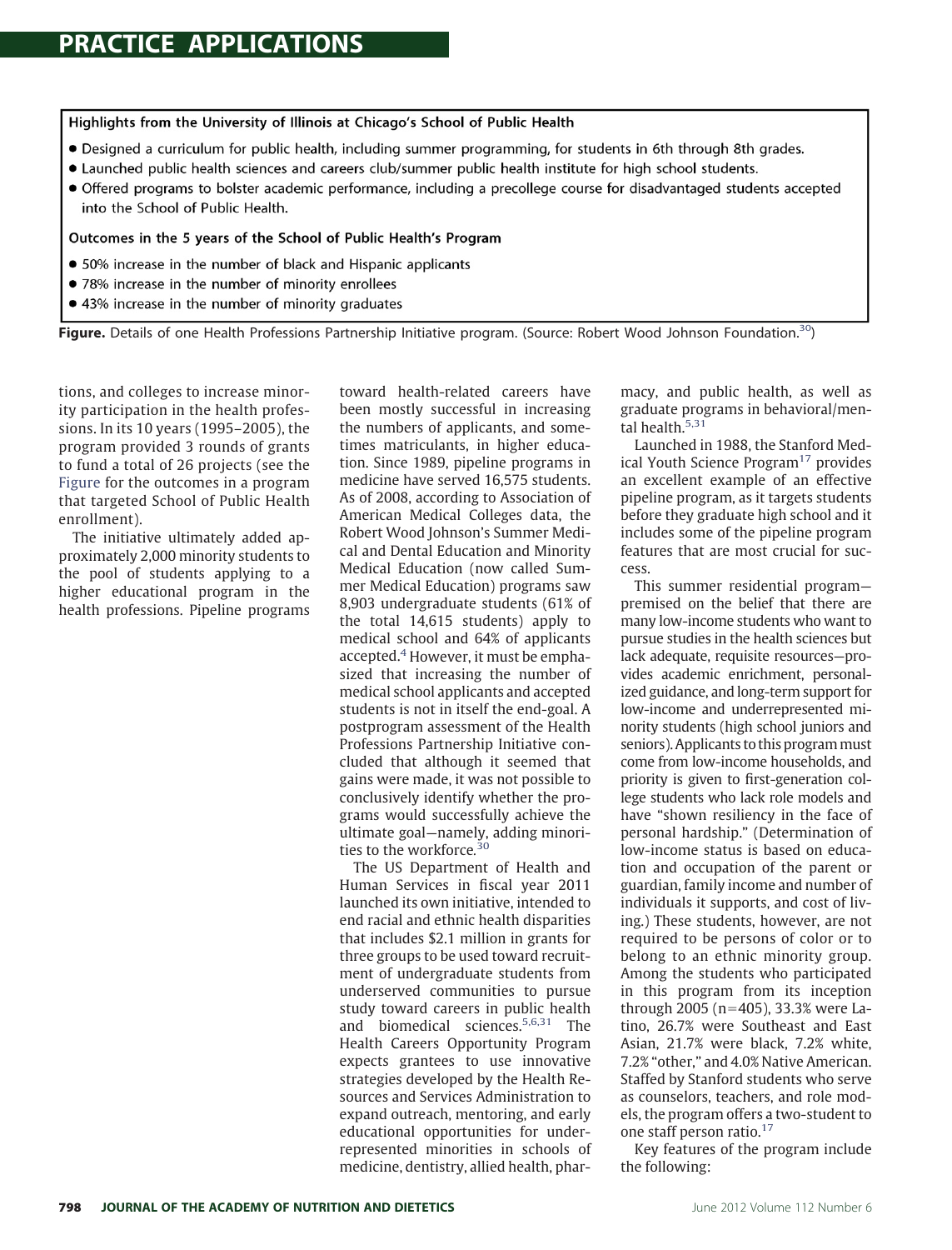#### Highlights from the University of Illinois at Chicago's School of Public Health

- . Designed a curriculum for public health, including summer programming, for students in 6th through 8th grades.
- Launched public health sciences and careers club/summer public health institute for high school students.
- Offered programs to bolster academic performance, including a precollege course for disadvantaged students accepted into the School of Public Health.

#### Outcomes in the 5 years of the School of Public Health's Program

- 50% increase in the number of black and Hispanic applicants
- 78% increase in the number of minority enrollees
- 43% increase in the number of minority graduates

<span id="page-4-0"></span>**Figure.** Details of one Health Professions Partnership Initiative program. (Source: Robert Wood Johnson Foundation[.30\)](#page-6-28)

tions, and colleges to increase minority participation in the health professions. In its 10 years (1995–2005), the program provided 3 rounds of grants to fund a total of 26 projects (see the [Figure](#page-4-0) for the outcomes in a program that targeted School of Public Health enrollment).

The initiative ultimately added approximately 2,000 minority students to the pool of students applying to a higher educational program in the health professions. Pipeline programs

toward health-related careers have been mostly successful in increasing the numbers of applicants, and sometimes matriculants, in higher education. Since 1989, pipeline programs in medicine have served 16,575 students. As of 2008, according to Association of American Medical Colleges data, the Robert Wood Johnson's Summer Medical and Dental Education and Minority Medical Education (now called Summer Medical Education) programs saw 8,903 undergraduate students (61% of the total 14,615 students) apply to medical school and 64% of applicants accepted. $4$  However, it must be emphasized that increasing the number of medical school applicants and accepted students is not in itself the end-goal. A postprogram assessment of the Health Professions Partnership Initiative concluded that although it seemed that gains were made, it was not possible to conclusively identify whether the programs would successfully achieve the ultimate goal—namely, adding minorities to the workforce*.* [30](#page-6-28)

The US Department of Health and Human Services in fiscal year 2011 launched its own initiative, intended to end racial and ethnic health disparities that includes \$2.1 million in grants for three groups to be used toward recruitment of undergraduate students from underserved communities to pursue study toward careers in public health and biomedical sciences.<sup>5,6,31</sup> The Health Careers Opportunity Program expects grantees to use innovative strategies developed by the Health Resources and Services Administration to expand outreach, mentoring, and early educational opportunities for underrepresented minorities in schools of medicine, dentistry, allied health, pharmacy, and public health, as well as graduate programs in behavioral/mental health.<sup>5,31</sup>

Launched in 1988, the Stanford Med-ical Youth Science Program<sup>[17](#page-6-15)</sup> provides an excellent example of an effective pipeline program, as it targets students before they graduate high school and it includes some of the pipeline program features that are most crucial for success.

This summer residential program premised on the belief that there are many low-income students who want to pursue studies in the health sciences but lack adequate, requisite resources—provides academic enrichment, personalized guidance, and long-term support for low-income and underrepresented minority students (high school juniors and seniors). Applicants to this program must come from low-income households, and priority is given to first-generation college students who lack role models and have "shown resiliency in the face of personal hardship." (Determination of low-income status is based on education and occupation of the parent or guardian, family income and number of individuals it supports, and cost of living.) These students, however, are not required to be persons of color or to belong to an ethnic minority group. Among the students who participated in this program from its inception through 2005 (n-405), 33.3% were Latino, 26.7% were Southeast and East Asian, 21.7% were black, 7.2% white, 7.2% "other," and 4.0% Native American. Staffed by Stanford students who serve as counselors, teachers, and role models, the program offers a two-student to one staff person ratio.<sup>17</sup>

Key features of the program include the following: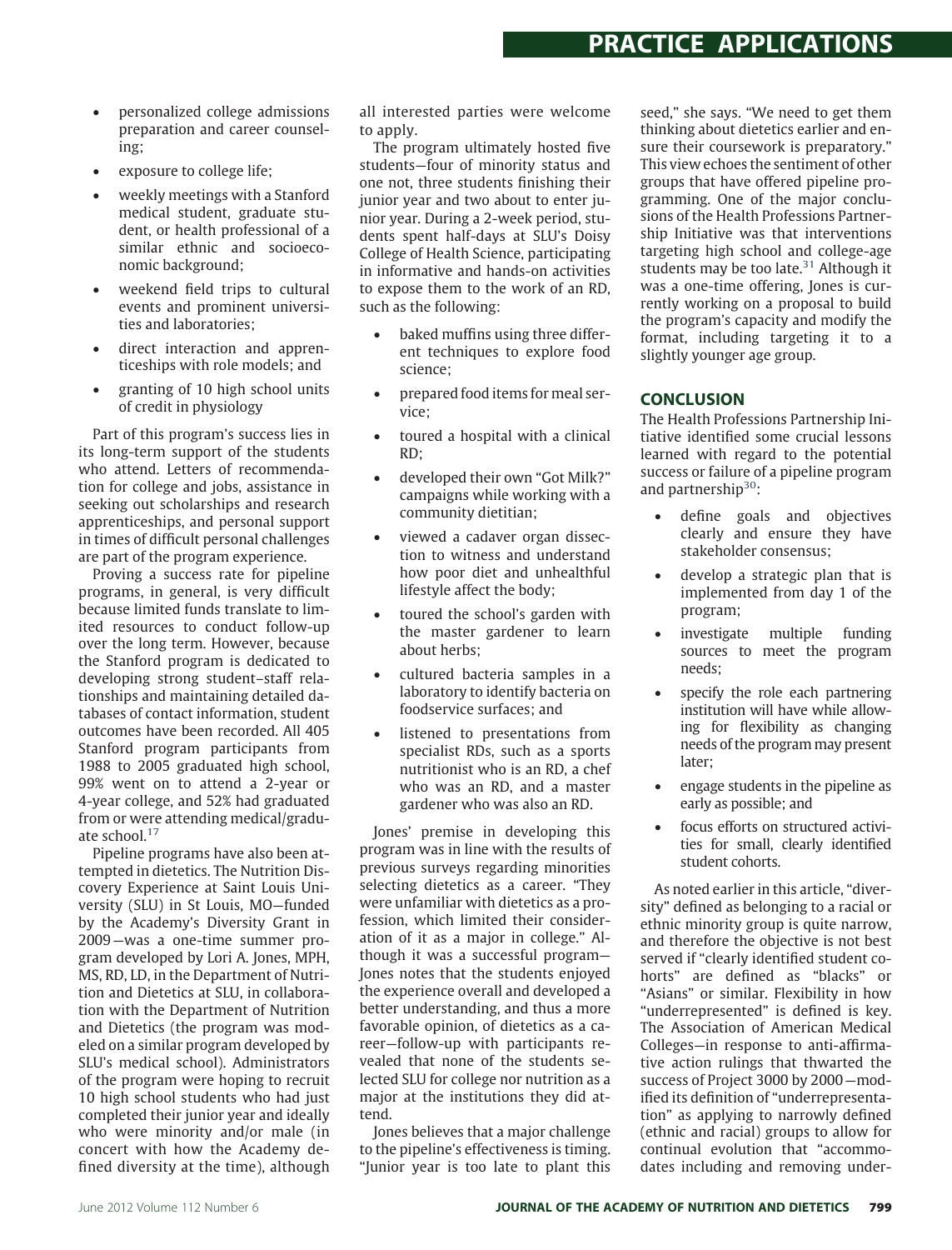- personalized college admissions preparation and career counseling;
- exposure to college life;
- weekly meetings with a Stanford medical student, graduate student, or health professional of a similar ethnic and socioeconomic background;
- weekend field trips to cultural events and prominent universities and laboratories;
- direct interaction and apprenticeships with role models; and
- granting of 10 high school units of credit in physiology

Part of this program's success lies in its long-term support of the students who attend. Letters of recommendation for college and jobs, assistance in seeking out scholarships and research apprenticeships, and personal support in times of difficult personal challenges are part of the program experience.

Proving a success rate for pipeline programs, in general, is very difficult because limited funds translate to limited resources to conduct follow-up over the long term. However, because the Stanford program is dedicated to developing strong student–staff relationships and maintaining detailed databases of contact information, student outcomes have been recorded. All 405 Stanford program participants from 1988 to 2005 graduated high school, 99% went on to attend a 2-year or 4-year college, and 52% had graduated from or were attending medical/graduate school[.17](#page-6-15)

Pipeline programs have also been attempted in dietetics. The Nutrition Discovery Experience at Saint Louis University (SLU) in St Louis, MO—funded by the Academy's Diversity Grant in 2009—was a one-time summer program developed by Lori A. Jones, MPH, MS, RD, LD, in the Department of Nutrition and Dietetics at SLU, in collaboration with the Department of Nutrition and Dietetics (the program was modeled on a similar program developed by SLU's medical school). Administrators of the program were hoping to recruit 10 high school students who had just completed their junior year and ideally who were minority and/or male (in concert with how the Academy defined diversity at the time), although all interested parties were welcome to apply.

The program ultimately hosted five students—four of minority status and one not, three students finishing their junior year and two about to enter junior year. During a 2-week period, students spent half-days at SLU's Doisy College of Health Science, participating in informative and hands-on activities to expose them to the work of an RD, such as the following:

- baked muffins using three different techniques to explore food science;
- prepared food items for meal service;
- toured a hospital with a clinical RD;
- developed their own "Got Milk?" campaigns while working with a community dietitian;
- viewed a cadaver organ dissection to witness and understand how poor diet and unhealthful lifestyle affect the body;
- toured the school's garden with the master gardener to learn about herbs;
- cultured bacteria samples in a laboratory to identify bacteria on foodservice surfaces; and
- listened to presentations from specialist RDs, such as a sports nutritionist who is an RD, a chef who was an RD, and a master gardener who was also an RD.

Jones' premise in developing this program was in line with the results of previous surveys regarding minorities selecting dietetics as a career. "They were unfamiliar with dietetics as a profession, which limited their consideration of it as a major in college." Although it was a successful program— Jones notes that the students enjoyed the experience overall and developed a better understanding, and thus a more favorable opinion, of dietetics as a career—follow-up with participants revealed that none of the students selected SLU for college nor nutrition as a major at the institutions they did attend.

Jones believes that a major challenge to the pipeline's effectiveness is timing. "Junior year is too late to plant this seed," she says. "We need to get them thinking about dietetics earlier and ensure their coursework is preparatory." This view echoes the sentiment of other groups that have offered pipeline programming. One of the major conclusions of the Health Professions Partnership Initiative was that interventions targeting high school and college-age students may be too late. $31$  Although it was a one-time offering, Jones is currently working on a proposal to build the program's capacity and modify the format, including targeting it to a slightly younger age group.

# **CONCLUSION**

The Health Professions Partnership Initiative identified some crucial lessons learned with regard to the potential success or failure of a pipeline program and partnership<sup>30</sup>:

- define goals and objectives clearly and ensure they have stakeholder consensus;
- develop a strategic plan that is implemented from day 1 of the program;
- investigate multiple funding sources to meet the program needs;
- specify the role each partnering institution will have while allowing for flexibility as changing needs of the program may present later;
- engage students in the pipeline as early as possible; and
- focus efforts on structured activities for small, clearly identified student cohorts.

As noted earlier in this article, "diversity" defined as belonging to a racial or ethnic minority group is quite narrow, and therefore the objective is not best served if "clearly identified student cohorts" are defined as "blacks" or "Asians" or similar. Flexibility in how "underrepresented" is defined is key. The Association of American Medical Colleges—in response to anti-affirmative action rulings that thwarted the success of Project 3000 by 2000—modified its definition of "underrepresentation" as applying to narrowly defined (ethnic and racial) groups to allow for continual evolution that "accommodates including and removing under-